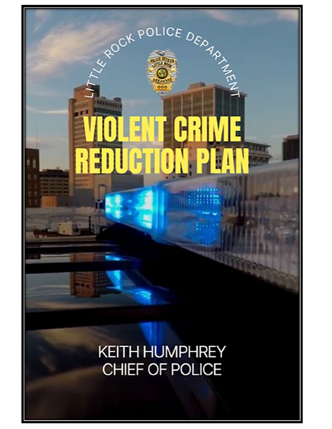

**EXPOLICE DEDAMATELY** 

R

þ

F

1. Fr

H

**THEFT** 

 $\mathbf{r}$ 

ţ

펵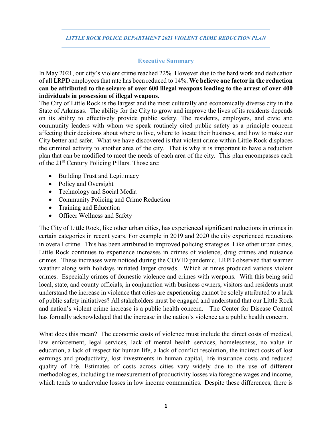## **Executive Summary**

In May 2021, our city's violent crime reached 22%. However due to the hard work and dedication of all LRPD employees that rate has been reduced to 14%. **We believe one factor in the reduction can be attributed to the seizure of over 600 illegal weapons leading to the arrest of over 400 individuals in possession of illegal weapons.**

The City of Little Rock is the largest and the most culturally and economically diverse city in the State of Arkansas. The ability for the City to grow and improve the lives of its residents depends on its ability to effectively provide public safety. The residents, employers, and civic and community leaders with whom we speak routinely cited public safety as a principle concern affecting their decisions about where to live, where to locate their business, and how to make our City better and safer. What we have discovered is that violent crime within Little Rock displaces the criminal activity to another area of the city. That is why it is important to have a reduction plan that can be modified to meet the needs of each area of the city. This plan encompasses each of the 21<sup>st</sup> Century Policing Pillars. Those are:

- Building Trust and Legitimacy
- Policy and Oversight
- Technology and Social Media
- Community Policing and Crime Reduction
- Training and Education
- Officer Wellness and Safety

The City of Little Rock, like other urban cities, has experienced significant reductions in crimes in certain categories in recent years. For example in 2019 and 2020 the city experienced reductions in overall crime. This has been attributed to improved policing strategies. Like other urban cities, Little Rock continues to experience increases in crimes of violence, drug crimes and nuisance crimes. These increases were noticed during the COVID pandemic. LRPD observed that warmer weather along with holidays initiated larger crowds. Which at times produced various violent crimes. Especially crimes of domestic violence and crimes with weapons. With this being said local, state, and county officials, in conjunction with business owners, visitors and residents must understand the increase in violence that cities are experiencing cannot be solely attributed to a lack of public safety initiatives? All stakeholders must be engaged and understand that our Little Rock and nation's violent crime increase is a public health concern. The Center for Disease Control has formally acknowledged that the increase in the nation's violence as a public health concern.

What does this mean? The economic costs of violence must include the direct costs of medical, law enforcement, legal services, lack of mental health services, homelessness, no value in education, a lack of respect for human life, a lack of conflict resolution, the indirect costs of lost earnings and productivity, lost investments in human capital, life insurance costs and reduced quality of life. Estimates of costs across cities vary widely due to the use of different methodologies, including the measurement of productivity losses via foregone wages and income, which tends to undervalue losses in low income communities. Despite these differences, there is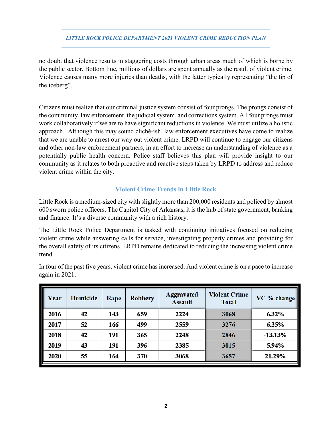no doubt that violence results in staggering costs through urban areas much of which is borne by the public sector. Bottom line, millions of dollars are spent annually as the result of violent crime. Violence causes many more injuries than deaths, with the latter typically representing "the tip of the iceberg".

Citizens must realize that our criminal justice system consist of four prongs. The prongs consist of the community, law enforcement, the judicial system, and corrections system. All four prongs must work collaboratively if we are to have significant reductions in violence. We must utilize a holistic approach. Although this may sound cliché-ish, law enforcement executives have come to realize that we are unable to arrest our way out violent crime. LRPD will continue to engage our citizens and other non-law enforcement partners, in an effort to increase an understanding of violence as a potentially public health concern. Police staff believes this plan will provide insight to our community as it relates to both proactive and reactive steps taken by LRPD to address and reduce violent crime within the city.

# **Violent Crime Trends in Little Rock**

Little Rock is a medium-sized city with slightly more than 200,000 residents and policed by almost 600 sworn police officers. The Capitol City of Arkansas, it is the hub of state government, banking and finance. It's a diverse community with a rich history.

The Little Rock Police Department is tasked with continuing initiatives focused on reducing violent crime while answering calls for service, investigating property crimes and providing for the overall safety of its citizens. LRPD remains dedicated to reducing the increasing violent crime trend.

| Year | Homicide | Rape | <b>Robbery</b> | <b>Aggravated</b><br><b>Assault</b> | <b>Violent Crime</b><br><b>Total</b> | VC % change |
|------|----------|------|----------------|-------------------------------------|--------------------------------------|-------------|
| 2016 | 42       | 143  | 659            | 2224                                | 3068                                 | 6.32%       |
| 2017 | 52       | 166  | 499            | 2559                                | 3276                                 | 6.35%       |
| 2018 | 42       | 191  | 365            | 2248                                | 2846                                 | $-13.13%$   |
| 2019 | 43       | 191  | 396            | 2385                                | 3015                                 | 5.94%       |
| 2020 | 55       | 164  | 370            | 3068                                | 3657                                 | 21.29%      |

In four of the past five years, violent crime has increased. And violent crime is on a pace to increase again in 2021.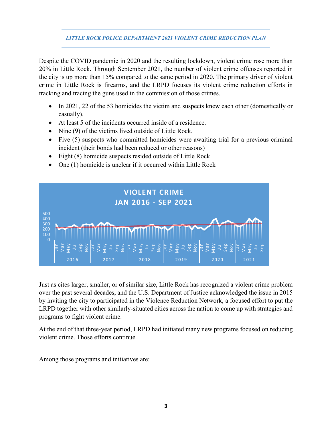Despite the COVID pandemic in 2020 and the resulting lockdown, violent crime rose more than 20% in Little Rock. Through September 2021, the number of violent crime offenses reported in the city is up more than 15% compared to the same period in 2020. The primary driver of violent crime in Little Rock is firearms, and the LRPD focuses its violent crime reduction efforts in tracking and tracing the guns used in the commission of those crimes.

- In 2021, 22 of the 53 homicides the victim and suspects knew each other (domestically or casually).
- At least 5 of the incidents occurred inside of a residence.
- Nine (9) of the victims lived outside of Little Rock.
- Five (5) suspects who committed homicides were awaiting trial for a previous criminal incident (their bonds had been reduced or other reasons)
- Eight (8) homicide suspects resided outside of Little Rock
- One (1) homicide is unclear if it occurred within Little Rock



Just as cites larger, smaller, or of similar size, Little Rock has recognized a violent crime problem over the past several decades, and the U.S. Department of Justice acknowledged the issue in 2015 by inviting the city to participated in the Violence Reduction Network, a focused effort to put the LRPD together with other similarly-situated cities across the nation to come up with strategies and programs to fight violent crime.

At the end of that three-year period, LRPD had initiated many new programs focused on reducing violent crime. Those efforts continue.

Among those programs and initiatives are: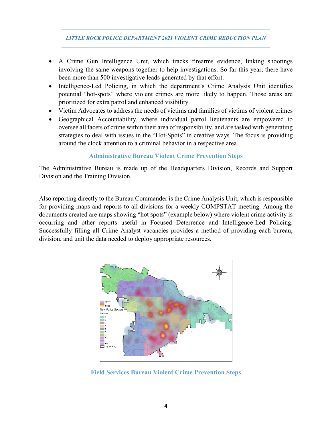- A Crime Gun Intelligence Unit, which tracks firearms evidence, linking shootings involving the same weapons together to help investigations. So far this year, there have been more than 500 investigative leads generated by that effort.
- Intelligence-Led Policing, in which the department's Crime Analysis Unit identifies potential "hot-spots" where violent crimes are more likely to happen. Those areas are prioritized for extra patrol and enhanced visibility.
- Victim Advocates to address the needs of victims and families of victims of violent crimes
- Geographical Accountability, where individual patrol lieutenants are empowered to oversee all facets of crime within their area of responsibility, and are tasked with generating strategies to deal with issues in the "Hot-Spots" in creative ways. The focus is providing around the clock attention to a criminal behavior in a respective area.

## **Administrative Bureau Violent Crime Prevention Steps**

The Administrative Bureau is made up of the Headquarters Division, Records and Support Division and the Training Division.

Also reporting directly to the Bureau Commander is the Crime Analysis Unit, which is responsible for providing maps and reports to all divisions for a weekly COMPSTAT meeting. Among the documents created are maps showing "hot spots" (example below) where violent crime activity is occurring and other reports useful in Focused Deterrence and Intelligence-Led Policing. Successfully filling all Crime Analyst vacancies provides a method of providing each bureau, division, and unit the data needed to deploy appropriate resources.



**Field Services Bureau Violent Crime Prevention Steps**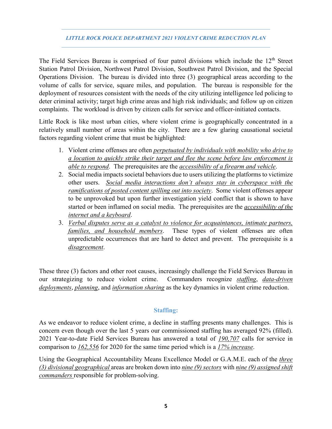The Field Services Bureau is comprised of four patrol divisions which include the 12<sup>th</sup> Street Station Patrol Division, Northwest Patrol Division, Southwest Patrol Division, and the Special Operations Division. The bureau is divided into three (3) geographical areas according to the volume of calls for service, square miles, and population. The bureau is responsible for the deployment of resources consistent with the needs of the city utilizing intelligence led policing to deter criminal activity; target high crime areas and high risk individuals; and follow up on citizen complaints. The workload is driven by citizen calls for service and officer-initiated contacts.

Little Rock is like most urban cities, where violent crime is geographically concentrated in a relatively small number of areas within the city. There are a few glaring causational societal factors regarding violent crime that must be highlighted:

- 1. Violent crime offenses are often *perpetuated by individuals with mobility who drive to a location to quickly strike their target and flee the scene before law enforcement is able to respond*. The prerequisites are the *accessibility of a firearm and vehicle*.
- 2. Social media impacts societal behaviors due to users utilizing the platforms to victimize other users. *Social media interactions don't always stay in cyberspace with the ramifications of posted content spilling out into society*. Some violent offenses appear to be unprovoked but upon further investigation yield conflict that is shown to have started or been inflamed on social media. The prerequisites are the *accessibility of the internet and a keyboard*.
- 3. *Verbal disputes serve as a catalyst to violence for acquaintances, intimate partners, families, and household members*. These types of violent offenses are often unpredictable occurrences that are hard to detect and prevent. The prerequisite is a *disagreement*.

These three (3) factors and other root causes, increasingly challenge the Field Services Bureau in our strategizing to reduce violent crime. Commanders recognize *staffing*, *data-driven deployments*, *planning*, and *information sharing* as the key dynamics in violent crime reduction.

# **Staffing:**

As we endeavor to reduce violent crime, a decline in staffing presents many challenges. This is concern even though over the last 5 years our commissioned staffing has averaged 92% (filled). 2021 Year-to-date Field Services Bureau has answered a total of *190,707* calls for service in comparison to *162,556* for 2020 for the same time period which is a *17% increase*.

Using the Geographical Accountability Means Excellence Model or G.A.M.E. each of the *three (3) divisional geographical* areas are broken down into *nine (9) sectors* with *nine (9) assigned shift commanders* responsible for problem-solving.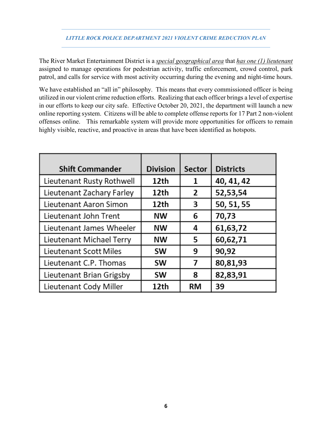The River Market Entertainment District is a *special geographical area* that *has one (1) lieutenant* assigned to manage operations for pedestrian activity, traffic enforcement, crowd control, park patrol, and calls for service with most activity occurring during the evening and night-time hours.

We have established an "all in" philosophy. This means that every commissioned officer is being utilized in our violent crime reduction efforts. Realizing that each officer brings a level of expertise in our efforts to keep our city safe. Effective October 20, 2021, the department will launch a new online reporting system. Citizens will be able to complete offense reports for 17 Part 2 non-violent offenses online. This remarkable system will provide more opportunities for officers to remain highly visible, reactive, and proactive in areas that have been identified as hotspots.

| <b>Shift Commander</b>    | <b>Division</b> | <b>Sector</b> | <b>Districts</b> |
|---------------------------|-----------------|---------------|------------------|
| Lieutenant Rusty Rothwell | 12th            | 1             | 40, 41, 42       |
| Lieutenant Zachary Farley | 12th            | 2             | 52,53,54         |
| Lieutenant Aaron Simon    | 12th            | 3             | 50, 51, 55       |
| Lieutenant John Trent     | <b>NW</b>       | 6             | 70,73            |
| Lieutenant James Wheeler  | <b>NW</b>       | 4             | 61,63,72         |
| Lieutenant Michael Terry  | <b>NW</b>       | 5             | 60,62,71         |
| Lieutenant Scott Miles    | SW              | 9             | 90,92            |
| Lieutenant C.P. Thomas    | <b>SW</b>       | 7             | 80,81,93         |
| Lieutenant Brian Grigsby  | <b>SW</b>       | 8             | 82,83,91         |
| Lieutenant Cody Miller    | 12th            | RM            | 39               |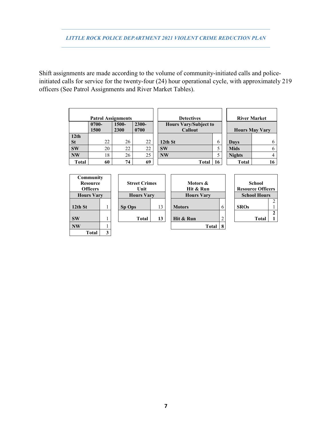Shift assignments are made according to the volume of community-initiated calls and policeinitiated calls for service for the twenty-four (24) hour operational cycle, with approximately 219 officers (See Patrol Assignments and River Market Tables).

|                  | <b>Patrol Assignments</b> |       |          | <b>Detectives</b>            |    |               | <b>River Market</b>   |
|------------------|---------------------------|-------|----------|------------------------------|----|---------------|-----------------------|
|                  | $0700 -$                  | 1500- | $2300 -$ | <b>Hours Vary/Subject to</b> |    |               |                       |
|                  | 1500                      | 2300  | 0700     | <b>Callout</b>               |    |               | <b>Hours May Vary</b> |
| 12 <sub>th</sub> |                           |       |          |                              |    |               |                       |
| <b>St</b>        | 22                        | 26    | 22       | 12th St                      | 6  | Days          | 6                     |
| <b>SW</b>        | 20                        | 22    | 22       | <b>SW</b>                    |    | <b>Mids</b>   | 6                     |
| <b>NW</b>        | 18                        | 26    | 25       | <b>NW</b>                    |    | <b>Nights</b> | 4                     |
| <b>Total</b>     | 60                        | 74    | 69       | Total                        | 16 | Total         | 16                    |

| Community         |   |                      |    |                   |  |                          |                     |       |   |
|-------------------|---|----------------------|----|-------------------|--|--------------------------|---------------------|-------|---|
| <b>Resource</b>   |   | <b>Street Crimes</b> |    | Motors &          |  | School                   |                     |       |   |
| <b>Officers</b>   |   | Unit                 |    | Hit & Run         |  | <b>Resource Officers</b> |                     |       |   |
| <b>Hours Vary</b> |   | <b>Hours Vary</b>    |    | <b>Hours Vary</b> |  |                          | <b>School Hours</b> |       |   |
|                   |   |                      |    |                   |  |                          |                     |       | າ |
| $12th$ St         |   | Sp Ops               | 13 | <b>Motors</b>     |  |                          | <b>SROs</b>         |       |   |
|                   |   |                      |    |                   |  |                          |                     |       | 2 |
| <b>SW</b>         |   | <b>Total</b>         | 13 | Hit & Run         |  |                          |                     | Total |   |
| <b>NW</b>         |   |                      |    | <b>Total</b>      |  |                          |                     |       |   |
| Total             | 3 |                      |    |                   |  |                          |                     |       |   |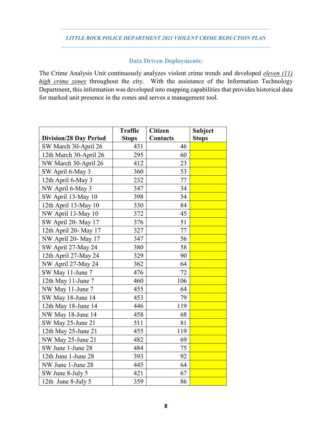# **Data Driven Deployments:**

The Crime Analysis Unit continuously analyzes violent crime trends and developed *eleven (11) high crime zones* throughout the city. With the assistance of the Information Technology Department, this information was developed into mapping capabilities that provides historical data for marked unit presence in the zones and serves a management tool.

|                               | <b>Traffic</b> | <b>Citizen</b>  | <b>Subject</b> |
|-------------------------------|----------------|-----------------|----------------|
| <b>Division/28 Day Period</b> | <b>Stops</b>   | <b>Contacts</b> | <b>Stops</b>   |
| SW March 30-April 26          | 431            | 46              |                |
| 12th March 30-April 26        | 295            | 60              |                |
| NW March 30-April 26          | 412            | 23              |                |
| SW April 6-May 3              | 360            | 53              |                |
| 12th April 6-May 3            | 232            | 77              |                |
| NW April 6-May 3              | 347            | 34              |                |
| SW April 13-May 10            | 398            | 54              |                |
| 12th April 13-May 10          | 330            | 84              |                |
| NW April 13-May 10            | 372            | 45              |                |
| SW April 20- May 17           | 376            | 51              |                |
| 12th April 20- May 17         | 327            | 77              |                |
| NW April 20- May 17           | 347            | 56              |                |
| SW April 27-May 24            | 380            | 58              |                |
| 12th April 27-May 24          | 329            | 90              |                |
| NW April 27-May 24            | 362            | 64              |                |
| SW May 11-June 7              | 476            | 72              |                |
| 12th May 11-June 7            | 460            | 106             |                |
| NW May 11-June 7              | 455            | 64              |                |
| SW May 18-June 14             | 453            | 79              |                |
| 12th May 18-June 14           | 446            | 119             |                |
| NW May 18-June 14             | 458            | 68              |                |
| SW May 25-June 21             | 511            | 81              |                |
| 12th May 25-June 21           | 455            | 119             |                |
| NW May 25-June 21             | 482            | 69              |                |
| SW June 1-June 28             | 484            | 75              |                |
| 12th June 1-June 28           | 393            | 92              |                |
| NW June 1-June 28             | 445            | 64              |                |
| SW June 8-July 5              | 421            | 67              |                |
| 12th June 8-July 5            | 359            | 86              |                |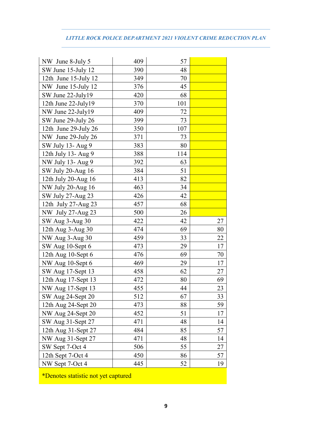| NW June 8-July 5     | 409 | 57  |    |
|----------------------|-----|-----|----|
| SW June 15-July 12   | 390 | 48  |    |
| 12th June 15-July 12 | 349 | 70  |    |
| NW June 15-July 12   | 376 | 45  |    |
| SW June 22-July19    | 420 | 68  |    |
| 12th June 22-July19  | 370 | 101 |    |
| NW June 22-July19    | 409 | 72  |    |
| SW June 29-July 26   | 399 | 73  |    |
| 12th June 29-July 26 | 350 | 107 |    |
| NW June 29-July 26   | 371 | 73  |    |
| SW July 13- Aug 9    | 383 | 80  |    |
| 12th July 13- Aug 9  | 388 | 114 |    |
| NW July 13- Aug 9    | 392 | 63  |    |
| SW July 20-Aug 16    | 384 | 51  |    |
| 12th July 20-Aug 16  | 413 | 82  |    |
| NW July 20-Aug 16    | 463 | 34  |    |
| SW July 27-Aug 23    | 426 | 42  |    |
| 12th July 27-Aug 23  | 457 | 68  |    |
| NW July 27-Aug 23    | 500 | 26  |    |
| SW Aug 3-Aug 30      | 422 | 42  | 27 |
| 12th Aug 3-Aug 30    | 474 | 69  | 80 |
| NW Aug 3-Aug 30      | 459 | 33  | 22 |
| SW Aug 10-Sept 6     | 473 | 29  | 17 |
| 12th Aug 10-Sept 6   | 476 | 69  | 70 |
| NW Aug 10-Sept 6     | 469 | 29  | 17 |
| SW Aug 17-Sept 13    | 458 | 62  | 27 |
| 12th Aug 17-Sept 13  | 472 | 80  | 69 |
| NW Aug 17-Sept 13    | 455 | 44  | 23 |
| SW Aug 24-Sept 20    | 512 | 67  | 33 |
| 12th Aug 24-Sept 20  | 473 | 88  | 59 |
| NW Aug 24-Sept 20    | 452 | 51  | 17 |
| SW Aug 31-Sept 27    | 471 | 48  | 14 |
| 12th Aug 31-Sept 27  | 484 | 85  | 57 |
| NW Aug 31-Sept 27    | 471 | 48  | 14 |
| SW Sept 7-Oct 4      | 506 | 55  | 27 |
| 12th Sept 7-Oct 4    | 450 | 86  | 57 |
| NW Sept 7-Oct 4      | 445 | 52  | 19 |

\*Denotes statistic not yet captured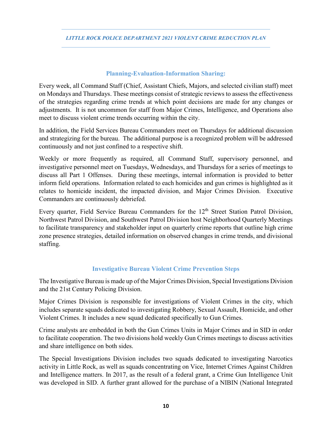## **Planning-Evaluation-Information Sharing:**

Every week, all Command Staff (Chief, Assistant Chiefs, Majors, and selected civilian staff) meet on Mondays and Thursdays. These meetings consist of strategic reviews to assess the effectiveness of the strategies regarding crime trends at which point decisions are made for any changes or adjustments. It is not uncommon for staff from Major Crimes, Intelligence, and Operations also meet to discuss violent crime trends occurring within the city.

In addition, the Field Services Bureau Commanders meet on Thursdays for additional discussion and strategizing for the bureau. The additional purpose is a recognized problem will be addressed continuously and not just confined to a respective shift.

Weekly or more frequently as required, all Command Staff, supervisory personnel, and investigative personnel meet on Tuesdays, Wednesdays, and Thursdays for a series of meetings to discuss all Part 1 Offenses. During these meetings, internal information is provided to better inform field operations. Information related to each homicides and gun crimes is highlighted as it relates to homicide incident, the impacted division, and Major Crimes Division. Executive Commanders are continuously debriefed.

Every quarter, Field Service Bureau Commanders for the 12<sup>th</sup> Street Station Patrol Division, Northwest Patrol Division, and Southwest Patrol Division host Neighborhood Quarterly Meetings to facilitate transparency and stakeholder input on quarterly crime reports that outline high crime zone presence strategies, detailed information on observed changes in crime trends, and divisional staffing.

## **Investigative Bureau Violent Crime Prevention Steps**

The Investigative Bureau is made up of the Major Crimes Division, Special Investigations Division and the 21st Century Policing Division.

Major Crimes Division is responsible for investigations of Violent Crimes in the city, which includes separate squads dedicated to investigating Robbery, Sexual Assault, Homicide, and other Violent Crimes. It includes a new squad dedicated specifically to Gun Crimes.

Crime analysts are embedded in both the Gun Crimes Units in Major Crimes and in SID in order to facilitate cooperation. The two divisions hold weekly Gun Crimes meetings to discuss activities and share intelligence on both sides.

The Special Investigations Division includes two squads dedicated to investigating Narcotics activity in Little Rock, as well as squads concentrating on Vice, Internet Crimes Against Children and Intelligence matters. In 2017, as the result of a federal grant, a Crime Gun Intelligence Unit was developed in SID. A further grant allowed for the purchase of a NIBIN (National Integrated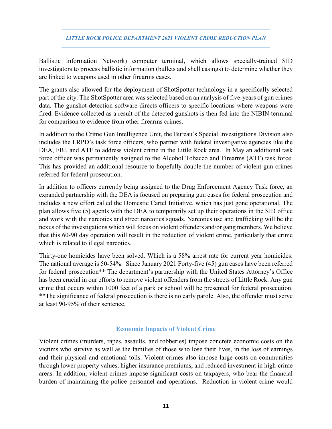Ballistic Information Network) computer terminal, which allows specially-trained SID investigators to process ballistic information (bullets and shell casings) to determine whether they are linked to weapons used in other firearms cases.

The grants also allowed for the deployment of ShotSpotter technology in a specifically-selected part of the city. The ShotSpotter area was selected based on an analysis of five-years of gun crimes data. The gunshot-detection software directs officers to specific locations where weapons were fired. Evidence collected as a result of the detected gunshots is then fed into the NIBIN terminal for comparison to evidence from other firearms crimes.

In addition to the Crime Gun Intelligence Unit, the Bureau's Special Investigations Division also includes the LRPD's task force officers, who partner with federal investigative agencies like the DEA, FBI, and ATF to address violent crime in the Little Rock area. In May an additional task force officer was permanently assigned to the Alcohol Tobacco and Firearms (ATF) task force. This has provided an additional resource to hopefully double the number of violent gun crimes referred for federal prosecution.

In addition to officers currently being assigned to the Drug Enforcement Agency Task force, an expanded partnership with the DEA is focused on preparing gun cases for federal prosecution and includes a new effort called the Domestic Cartel Initiative, which has just gone operational. The plan allows five (5) agents with the DEA to temporarily set up their operations in the SID office and work with the narcotics and street narcotics squads. Narcotics use and trafficking will be the nexus of the investigations which will focus on violent offenders and/or gang members. We believe that this 60-90 day operation will result in the reduction of violent crime, particularly that crime which is related to illegal narcotics.

Thirty-one homicides have been solved. Which is a 58% arrest rate for current year homicides. The national average is 50-54%. Since January 2021 Forty-five (45) gun cases have been referred for federal prosecution\*\* The department's partnership with the United States Attorney's Office has been crucial in our efforts to remove violent offenders from the streets of Little Rock. Any gun crime that occurs within 1000 feet of a park or school will be presented for federal prosecution. \*\*The significance of federal prosecution is there is no early parole. Also, the offender must serve at least 90-95% of their sentence.

## **Economic Impacts of Violent Crime**

Violent crimes (murders, rapes, assaults, and robberies) impose concrete economic costs on the victims who survive as well as the families of those who lose their lives, in the loss of earnings and their physical and emotional tolls. Violent crimes also impose large costs on communities through lower property values, higher insurance premiums, and reduced investment in high-crime areas. In addition, violent crimes impose significant costs on taxpayers, who bear the financial burden of maintaining the police personnel and operations. Reduction in violent crime would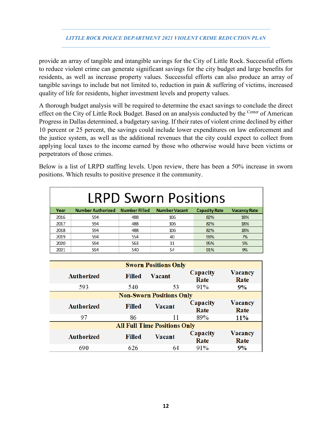provide an array of tangible and intangible savings for the City of Little Rock. Successful efforts to reduce violent crime can generate significant savings for the city budget and large benefits for residents, as well as increase property values. Successful efforts can also produce an array of tangible savings to include but not limited to, reduction in pain & suffering of victims, increased quality of life for residents, higher investment levels and property values.

A thorough budget analysis will be required to determine the exact savings to conclude the direct effect on the City of Little Rock Budget. Based on an analysis conducted by the <sup>Center</sup> of American Progress in Dallas determined, a budgetary saving. If their rates of violent crime declined by either 10 percent or 25 percent, the savings could include lower expenditures on law enforcement and the justice system, as well as the additional revenues that the city could expect to collect from applying local taxes to the income earned by those who otherwise would have been victims or perpetrators of those crimes.

Below is a list of LRPD staffing levels. Upon review, there has been a 50% increase in sworn positions. Which results to positive presence it the community.

| <b>LRPD Sworn Positions</b> |                          |                      |                      |                      |                     |  |  |
|-----------------------------|--------------------------|----------------------|----------------------|----------------------|---------------------|--|--|
| Year                        | <b>Number Authorized</b> | <b>Number Filled</b> | <b>Number Vacant</b> | <b>Capacity Rate</b> | <b>Vacancy Rate</b> |  |  |
| 2016                        | 594                      | 488                  | 106                  | 82%                  | 18%                 |  |  |
| 2017                        | 594                      | 488                  | 106                  | 82%                  | 18%                 |  |  |
| 2018                        | 594                      | 488                  | 106                  | 82%                  | 18%                 |  |  |
| 2019                        | 594                      | 554                  | 40                   | 93%                  | 7%                  |  |  |
| 2020                        | 594                      | 563                  | 31                   | 95%                  | 5%                  |  |  |
| 2021                        | 594                      | 540                  | 54                   | 91%                  | 9%                  |  |  |

| <b>Sworn Positions Only</b>     |                                     |        |                  |                 |  |  |  |
|---------------------------------|-------------------------------------|--------|------------------|-----------------|--|--|--|
| Authorized                      | <b>Filled</b>                       | Vacant | Capacity<br>Rate | Vacancy<br>Rate |  |  |  |
| 593                             | 540                                 | 53     | 91%              | 9%              |  |  |  |
| <b>Non-Sworn Positions Only</b> |                                     |        |                  |                 |  |  |  |
| <b>Authorized</b>               | <b>Filled</b>                       | Vacant | Capacity<br>Rate | Vacancy<br>Rate |  |  |  |
| 97                              | 86                                  | 11     | 89%              | <b>11%</b>      |  |  |  |
|                                 | <b>All Full Time Positions Only</b> |        |                  |                 |  |  |  |
| <b>Authorized</b>               | <b>Filled</b>                       | Vacant | Capacity<br>Rate | Vacancy<br>Rate |  |  |  |
| 690                             | 626                                 | 64     | $91\%$           | 9%              |  |  |  |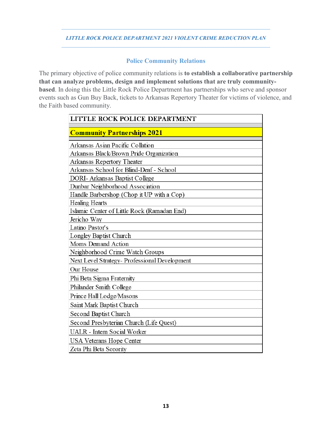# **Police Community Relations**

The primary objective of police community relations is **to establish a collaborative partnership that can analyze problems, design and implement solutions that are truly communitybased**. In doing this the Little Rock Police Department has partnerships who serve and sponsor events such as Gun Buy Back, tickets to Arkansas Repertory Theater for victims of violence, and the Faith based community.

| LITTLE ROCK POLICE DEPARTMENT                 |
|-----------------------------------------------|
| <b>Community Partnerships 2021</b>            |
|                                               |
| Arkansas Asian Pacific Collation              |
| Arkansas Black/Brown Pride Organization       |
| Arkansas Repertory Theater                    |
| Arkansas School for Blind-Deaf - School       |
| <b>DORI- Arkansas Baptist College</b>         |
| Dunbar Neighborhood Association               |
| Handle Barbershop (Chop it UP with a Cop)     |
| <b>Healing Hearts</b>                         |
| Islamic Center of Little Rock (Ramadan End)   |
| Jericho Way                                   |
| Latino Pastor's                               |
| Longley Baptist Church                        |
| Moms Demand Action                            |
| Neighborhood Crime Watch Groups               |
| Next Level Strategy- Professional Development |
| Our House                                     |
| Phi Beta Sigma Fraternity                     |
| Philander Smith College                       |
| Prince Hall Lodge/Masons                      |
| Saint Mark Baptist Church                     |
| Second Baptist Church                         |
| Second Presbyterian Church (Life Quest)       |
| <b>UALR</b> - Intern Social Worker            |
| <b>USA Veterans Hope Center</b>               |
| Zeta Phi Beta Sorority                        |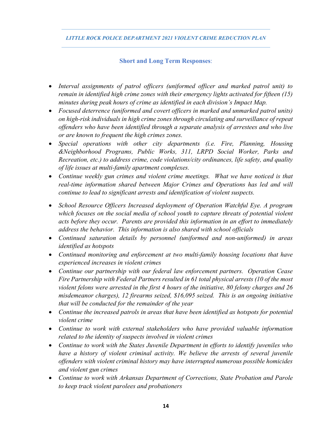## **Short and Long Term Responses**:

- *Interval assignments of patrol officers (uniformed officer and marked patrol unit) to remain in identified high crime zones with their emergency lights activated for fifteen (15) minutes during peak hours of crime as identified in each division's Impact Map.*
- *Focused deterrence (uniformed and covert officers in marked and unmarked patrol units) on high-risk individuals in high crime zones through circulating and surveillance of repeat offenders who have been identified through a separate analysis of arrestees and who live or are known to frequent the high crimes zones.*
- *Special operations with other city departments (i.e. Fire, Planning, Housing &Neighborhood Programs, Public Works, 311, LRPD Social Worker, Parks and Recreation, etc.) to address crime, code violations/city ordinances, life safety, and quality of life issues at multi-family apartment complexes.*
- *Continue weekly gun crimes and violent crime meetings. What we have noticed is that real-time information shared between Major Crimes and Operations has led and will continue to lead to significant arrests and identification of violent suspects.*
- *School Resource Officers Increased deployment of Operation Watchful Eye. A program which focuses on the social media of school youth to capture threats of potential violent acts before they occur. Parents are provided this information in an effort to immediately address the behavior. This information is also shared with school officials*
- *Continued saturation details by personnel (uniformed and non-uniformed) in areas identified as hotspots*
- *Continued monitoring and enforcement at two multi-family housing locations that have experienced increases in violent crimes*
- *Continue our partnership with our federal law enforcement partners. Operation Cease Fire Partnership with Federal Partners resulted in 61 total physical arrests (10 of the most violent felons were arrested in the first 4 hours of the initiative, 80 felony charges and 26 misdemeanor charges), 12 firearms seized, \$16,095 seized. This is an ongoing initiative that will be conducted for the remainder of the year*
- *Continue the increased patrols in areas that have been identified as hotspots for potential violent crime*
- *Continue to work with external stakeholders who have provided valuable information related to the identity of suspects involved in violent crimes*
- *Continue to work with the States Juvenile Department in efforts to identify juveniles who have a history of violent criminal activity. We believe the arrests of several juvenile offenders with violent criminal history may have interrupted numerous possible homicides and violent gun crimes*
- *Continue to work with Arkansas Department of Corrections, State Probation and Parole to keep track violent parolees and probationers*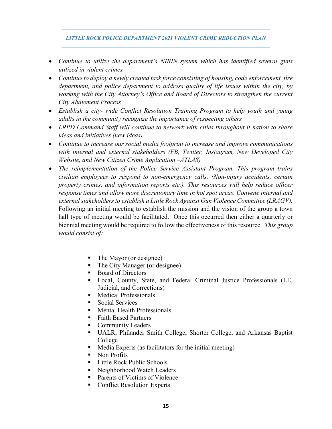- *Continue to utilize the department's NIBIN system which has identified several guns utilized in violent crimes*
- *Continue to deploy a newly created task force consisting of housing, code enforcement, fire department, and police department to address quality of life issues within the city, by working with the City Attorney's Office and Board of Directors to strengthen the current City Abatement Process*
- *Establish a city- wide Conflict Resolution Training Program to help youth and young adults in the community recognize the importance of respecting others*
- *LRPD Command Staff will continue to network with cities throughout it nation to share ideas and initiatives (new ideas)*
- *Continue to increase our social media footprint to increase and improve communications with internal and external stakeholders (FB, Twitter, Instagram, New Developed City Website, and New Citizen Crime Application –ATLAS)*
- *The reimplementation of the Police Service Assistant Program. This program trains civilian employees to respond to non-emergency calls. (Non-injury accidents, certain property crimes, and information reports etc.). This resources will help reduce officer response times and allow more discretionary time in hot spot areas. Convene internal and external stakeholders to establish a Little Rock Against Gun Violence Committee (LRAGV).*  Following an initial meeting to establish the mission and the vision of the group a town hall type of meeting would be facilitated. Once this occurred then either a quarterly or biennial meeting would be required to follow the effectiveness of this resource. *This group would consist of:*
	- The Mayor (or designee)
	- The City Manager (or designee)
	- Board of Directors
	- Local, County, State, and Federal Criminal Justice Professionals (LE, Judicial, and Corrections)
	- Medical Professionals
	- Social Services
	- **Mental Health Professionals**
	- Faith Based Partners
	- **Community Leaders**
	- UALR, Philander Smith College, Shorter College, and Arkansas Baptist College
	- Media Experts (as facilitators for the initial meeting)
	- Non Profits
	- **EXECUTE:** Little Rock Public Schools
	- Neighborhood Watch Leaders
	- Parents of Victims of Violence
	- Conflict Resolution Experts